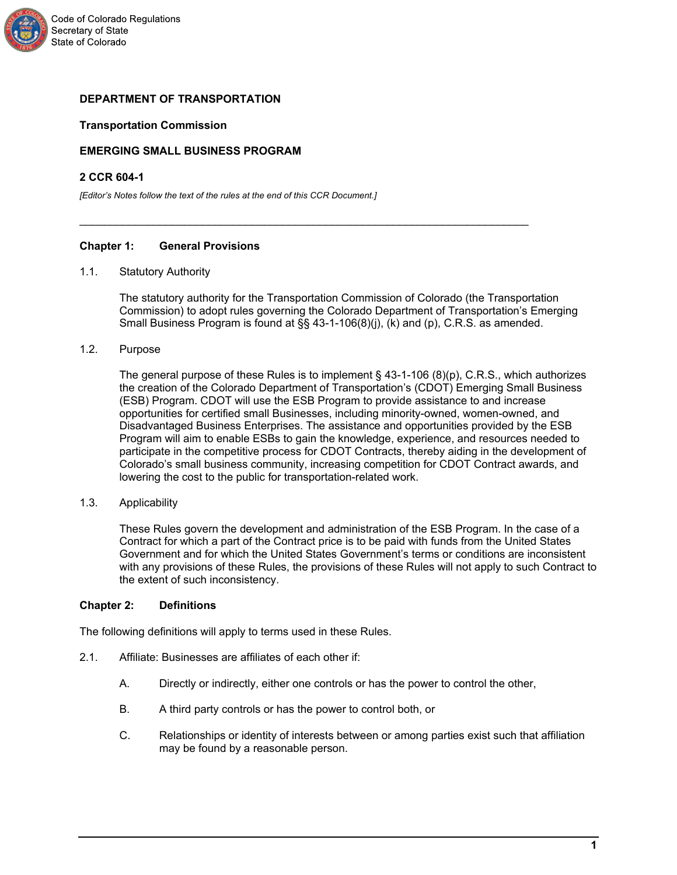

## **DEPARTMENT OF TRANSPORTATION**

## **Transportation Commission**

# **EMERGING SMALL BUSINESS PROGRAM**

### **2 CCR 604-1**

*[Editor's Notes follow the text of the rules at the end of this CCR Document.]*

## **Chapter 1: General Provisions**

### 1.1. Statutory Authority

The statutory authority for the Transportation Commission of Colorado (the Transportation Commission) to adopt rules governing the Colorado Department of Transportation's Emerging Small Business Program is found at §§ 43-1-106(8)(j), (k) and (p), C.R.S. as amended.

\_\_\_\_\_\_\_\_\_\_\_\_\_\_\_\_\_\_\_\_\_\_\_\_\_\_\_\_\_\_\_\_\_\_\_\_\_\_\_\_\_\_\_\_\_\_\_\_\_\_\_\_\_\_\_\_\_\_\_\_\_\_\_\_\_\_\_\_\_\_\_\_\_

1.2. Purpose

The general purpose of these Rules is to implement § 43-1-106 (8)(p), C.R.S., which authorizes the creation of the Colorado Department of Transportation's (CDOT) Emerging Small Business (ESB) Program. CDOT will use the ESB Program to provide assistance to and increase opportunities for certified small Businesses, including minority-owned, women-owned, and Disadvantaged Business Enterprises. The assistance and opportunities provided by the ESB Program will aim to enable ESBs to gain the knowledge, experience, and resources needed to participate in the competitive process for CDOT Contracts, thereby aiding in the development of Colorado's small business community, increasing competition for CDOT Contract awards, and lowering the cost to the public for transportation-related work.

1.3. Applicability

These Rules govern the development and administration of the ESB Program. In the case of a Contract for which a part of the Contract price is to be paid with funds from the United States Government and for which the United States Government's terms or conditions are inconsistent with any provisions of these Rules, the provisions of these Rules will not apply to such Contract to the extent of such inconsistency.

## **Chapter 2: Definitions**

The following definitions will apply to terms used in these Rules.

- 2.1. Affiliate: Businesses are affiliates of each other if:
	- A. Directly or indirectly, either one controls or has the power to control the other,
	- B. A third party controls or has the power to control both, or
	- C. Relationships or identity of interests between or among parties exist such that affiliation may be found by a reasonable person.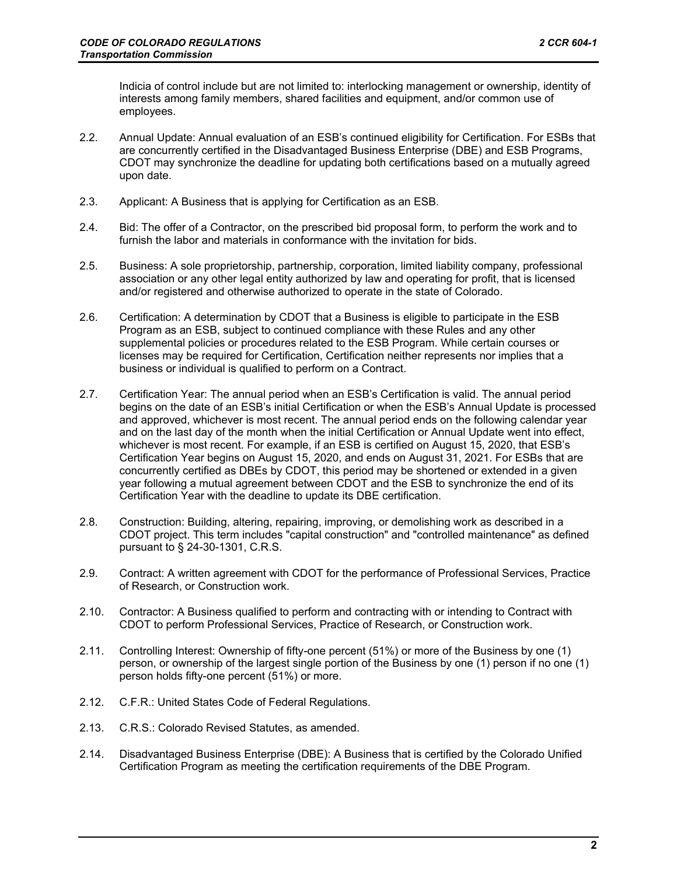Indicia of control include but are not limited to: interlocking management or ownership, identity of interests among family members, shared facilities and equipment, and/or common use of employees.

- 2.2. Annual Update: Annual evaluation of an ESB's continued eligibility for Certification. For ESBs that are concurrently certified in the Disadvantaged Business Enterprise (DBE) and ESB Programs, CDOT may synchronize the deadline for updating both certifications based on a mutually agreed upon date.
- 2.3. Applicant: A Business that is applying for Certification as an ESB.
- 2.4. Bid: The offer of a Contractor, on the prescribed bid proposal form, to perform the work and to furnish the labor and materials in conformance with the invitation for bids.
- 2.5. Business: A sole proprietorship, partnership, corporation, limited liability company, professional association or any other legal entity authorized by law and operating for profit, that is licensed and/or registered and otherwise authorized to operate in the state of Colorado.
- 2.6. Certification: A determination by CDOT that a Business is eligible to participate in the ESB Program as an ESB, subject to continued compliance with these Rules and any other supplemental policies or procedures related to the ESB Program. While certain courses or licenses may be required for Certification, Certification neither represents nor implies that a business or individual is qualified to perform on a Contract.
- 2.7. Certification Year: The annual period when an ESB's Certification is valid. The annual period begins on the date of an ESB's initial Certification or when the ESB's Annual Update is processed and approved, whichever is most recent. The annual period ends on the following calendar year and on the last day of the month when the initial Certification or Annual Update went into effect, whichever is most recent. For example, if an ESB is certified on August 15, 2020, that ESB's Certification Year begins on August 15, 2020, and ends on August 31, 2021. For ESBs that are concurrently certified as DBEs by CDOT, this period may be shortened or extended in a given year following a mutual agreement between CDOT and the ESB to synchronize the end of its Certification Year with the deadline to update its DBE certification.
- 2.8. Construction: Building, altering, repairing, improving, or demolishing work as described in a CDOT project. This term includes "capital construction" and "controlled maintenance" as defined pursuant to § 24-30-1301, C.R.S.
- 2.9. Contract: A written agreement with CDOT for the performance of Professional Services, Practice of Research, or Construction work.
- 2.10. Contractor: A Business qualified to perform and contracting with or intending to Contract with CDOT to perform Professional Services, Practice of Research, or Construction work.
- 2.11. Controlling Interest: Ownership of fifty-one percent (51%) or more of the Business by one (1) person, or ownership of the largest single portion of the Business by one (1) person if no one (1) person holds fifty-one percent (51%) or more.
- 2.12. C.F.R.: United States Code of Federal Regulations.
- 2.13. C.R.S.: Colorado Revised Statutes, as amended.
- 2.14. Disadvantaged Business Enterprise (DBE): A Business that is certified by the Colorado Unified Certification Program as meeting the certification requirements of the DBE Program.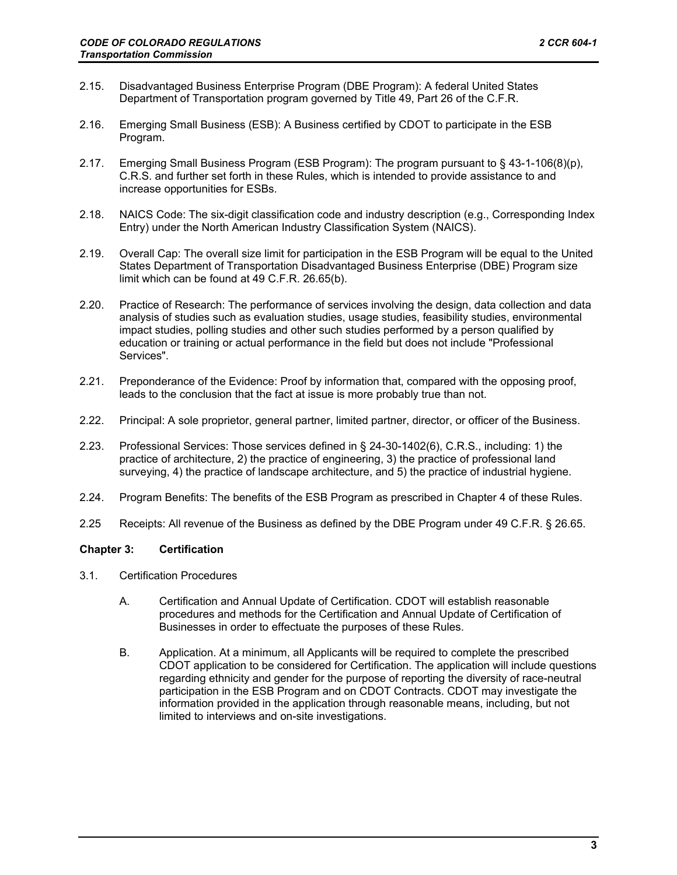- 2.15. Disadvantaged Business Enterprise Program (DBE Program): A federal United States Department of Transportation program governed by Title 49, Part 26 of the C.F.R.
- 2.16. Emerging Small Business (ESB): A Business certified by CDOT to participate in the ESB Program.
- 2.17. Emerging Small Business Program (ESB Program): The program pursuant to § 43-1-106(8)(p), C.R.S. and further set forth in these Rules, which is intended to provide assistance to and increase opportunities for ESBs.
- 2.18. NAICS Code: The six-digit classification code and industry description (e.g., Corresponding Index Entry) under the North American Industry Classification System (NAICS).
- 2.19. Overall Cap: The overall size limit for participation in the ESB Program will be equal to the United States Department of Transportation Disadvantaged Business Enterprise (DBE) Program size limit which can be found at 49 C.F.R. 26.65(b).
- 2.20. Practice of Research: The performance of services involving the design, data collection and data analysis of studies such as evaluation studies, usage studies, feasibility studies, environmental impact studies, polling studies and other such studies performed by a person qualified by education or training or actual performance in the field but does not include "Professional Services".
- 2.21. Preponderance of the Evidence: Proof by information that, compared with the opposing proof, leads to the conclusion that the fact at issue is more probably true than not.
- 2.22. Principal: A sole proprietor, general partner, limited partner, director, or officer of the Business.
- 2.23. Professional Services: Those services defined in § 24-30-1402(6), C.R.S., including: 1) the practice of architecture, 2) the practice of engineering, 3) the practice of professional land surveying, 4) the practice of landscape architecture, and 5) the practice of industrial hygiene.
- 2.24. Program Benefits: The benefits of the ESB Program as prescribed in Chapter 4 of these Rules.
- 2.25 Receipts: All revenue of the Business as defined by the DBE Program under 49 C.F.R. § 26.65.

## **Chapter 3: Certification**

- 3.1. Certification Procedures
	- A. Certification and Annual Update of Certification. CDOT will establish reasonable procedures and methods for the Certification and Annual Update of Certification of Businesses in order to effectuate the purposes of these Rules.
	- B. Application. At a minimum, all Applicants will be required to complete the prescribed CDOT application to be considered for Certification. The application will include questions regarding ethnicity and gender for the purpose of reporting the diversity of race-neutral participation in the ESB Program and on CDOT Contracts. CDOT may investigate the information provided in the application through reasonable means, including, but not limited to interviews and on-site investigations.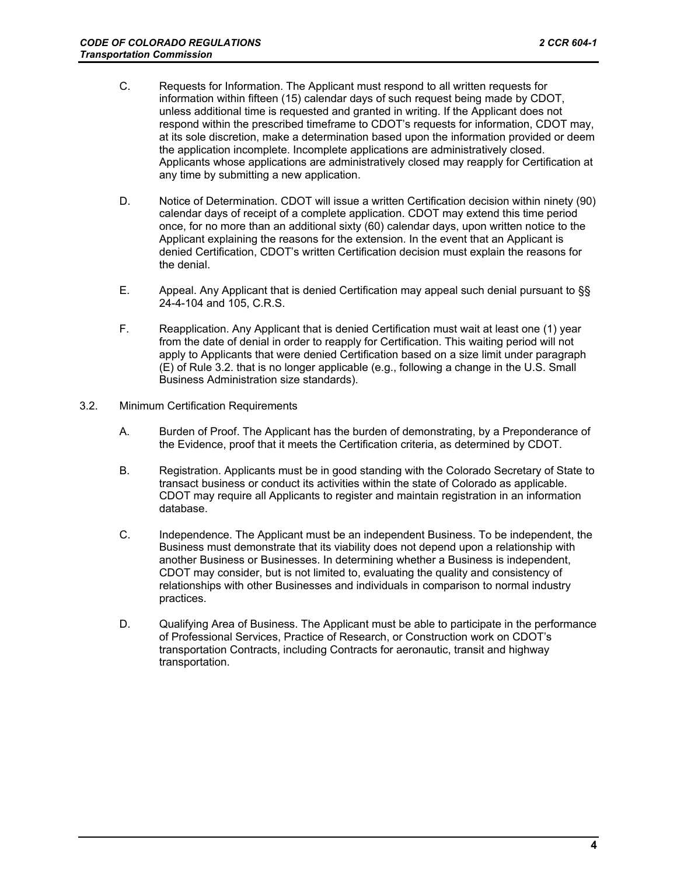- C. Requests for Information. The Applicant must respond to all written requests for information within fifteen (15) calendar days of such request being made by CDOT, unless additional time is requested and granted in writing. If the Applicant does not respond within the prescribed timeframe to CDOT's requests for information, CDOT may, at its sole discretion, make a determination based upon the information provided or deem the application incomplete. Incomplete applications are administratively closed. Applicants whose applications are administratively closed may reapply for Certification at any time by submitting a new application.
- D. Notice of Determination. CDOT will issue a written Certification decision within ninety (90) calendar days of receipt of a complete application. CDOT may extend this time period once, for no more than an additional sixty (60) calendar days, upon written notice to the Applicant explaining the reasons for the extension. In the event that an Applicant is denied Certification, CDOT's written Certification decision must explain the reasons for the denial.
- E. Appeal. Any Applicant that is denied Certification may appeal such denial pursuant to §§ 24-4-104 and 105, C.R.S.
- F. Reapplication. Any Applicant that is denied Certification must wait at least one (1) year from the date of denial in order to reapply for Certification. This waiting period will not apply to Applicants that were denied Certification based on a size limit under paragraph (E) of Rule 3.2. that is no longer applicable (e.g., following a change in the U.S. Small Business Administration size standards).
- 3.2. Minimum Certification Requirements
	- A. Burden of Proof. The Applicant has the burden of demonstrating, by a Preponderance of the Evidence, proof that it meets the Certification criteria, as determined by CDOT.
	- B. Registration. Applicants must be in good standing with the Colorado Secretary of State to transact business or conduct its activities within the state of Colorado as applicable. CDOT may require all Applicants to register and maintain registration in an information database.
	- C. Independence. The Applicant must be an independent Business. To be independent, the Business must demonstrate that its viability does not depend upon a relationship with another Business or Businesses. In determining whether a Business is independent, CDOT may consider, but is not limited to, evaluating the quality and consistency of relationships with other Businesses and individuals in comparison to normal industry practices.
	- D. Qualifying Area of Business. The Applicant must be able to participate in the performance of Professional Services, Practice of Research, or Construction work on CDOT's transportation Contracts, including Contracts for aeronautic, transit and highway transportation.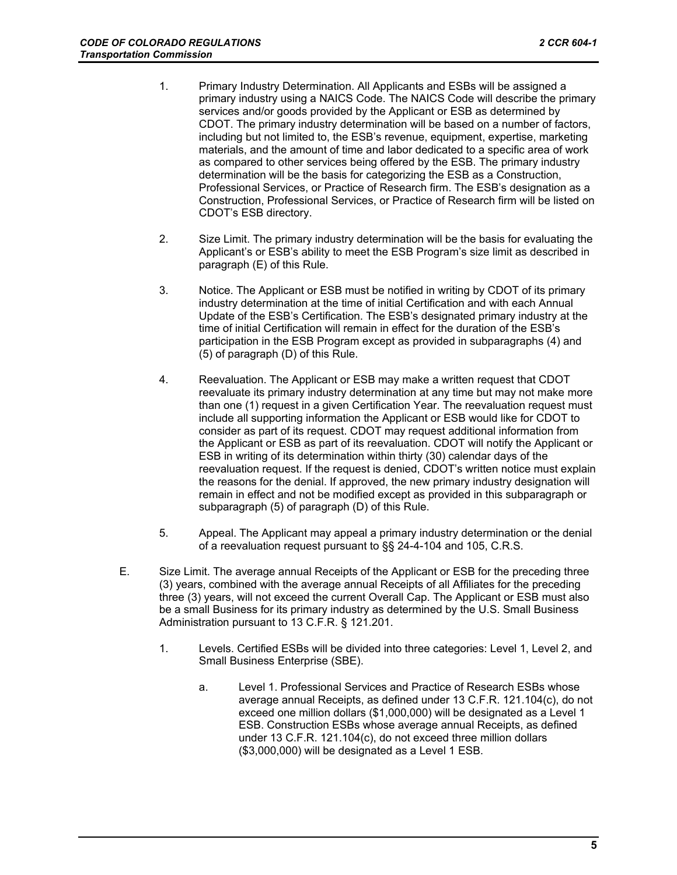- 1. Primary Industry Determination. All Applicants and ESBs will be assigned a primary industry using a NAICS Code. The NAICS Code will describe the primary services and/or goods provided by the Applicant or ESB as determined by CDOT. The primary industry determination will be based on a number of factors, including but not limited to, the ESB's revenue, equipment, expertise, marketing materials, and the amount of time and labor dedicated to a specific area of work as compared to other services being offered by the ESB. The primary industry determination will be the basis for categorizing the ESB as a Construction, Professional Services, or Practice of Research firm. The ESB's designation as a Construction, Professional Services, or Practice of Research firm will be listed on CDOT's ESB directory.
- 2. Size Limit. The primary industry determination will be the basis for evaluating the Applicant's or ESB's ability to meet the ESB Program's size limit as described in paragraph (E) of this Rule.
- 3. Notice. The Applicant or ESB must be notified in writing by CDOT of its primary industry determination at the time of initial Certification and with each Annual Update of the ESB's Certification. The ESB's designated primary industry at the time of initial Certification will remain in effect for the duration of the ESB's participation in the ESB Program except as provided in subparagraphs (4) and (5) of paragraph (D) of this Rule.
- 4. Reevaluation. The Applicant or ESB may make a written request that CDOT reevaluate its primary industry determination at any time but may not make more than one (1) request in a given Certification Year. The reevaluation request must include all supporting information the Applicant or ESB would like for CDOT to consider as part of its request. CDOT may request additional information from the Applicant or ESB as part of its reevaluation. CDOT will notify the Applicant or ESB in writing of its determination within thirty (30) calendar days of the reevaluation request. If the request is denied, CDOT's written notice must explain the reasons for the denial. If approved, the new primary industry designation will remain in effect and not be modified except as provided in this subparagraph or subparagraph (5) of paragraph (D) of this Rule.
- 5. Appeal. The Applicant may appeal a primary industry determination or the denial of a reevaluation request pursuant to §§ 24-4-104 and 105, C.R.S.
- E. Size Limit. The average annual Receipts of the Applicant or ESB for the preceding three (3) years, combined with the average annual Receipts of all Affiliates for the preceding three (3) years, will not exceed the current Overall Cap. The Applicant or ESB must also be a small Business for its primary industry as determined by the U.S. Small Business Administration pursuant to 13 C.F.R. § 121.201.
	- 1. Levels. Certified ESBs will be divided into three categories: Level 1, Level 2, and Small Business Enterprise (SBE).
		- a. Level 1. Professional Services and Practice of Research ESBs whose average annual Receipts, as defined under 13 C.F.R. 121.104(c), do not exceed one million dollars (\$1,000,000) will be designated as a Level 1 ESB. Construction ESBs whose average annual Receipts, as defined under 13 C.F.R. 121.104(c), do not exceed three million dollars (\$3,000,000) will be designated as a Level 1 ESB.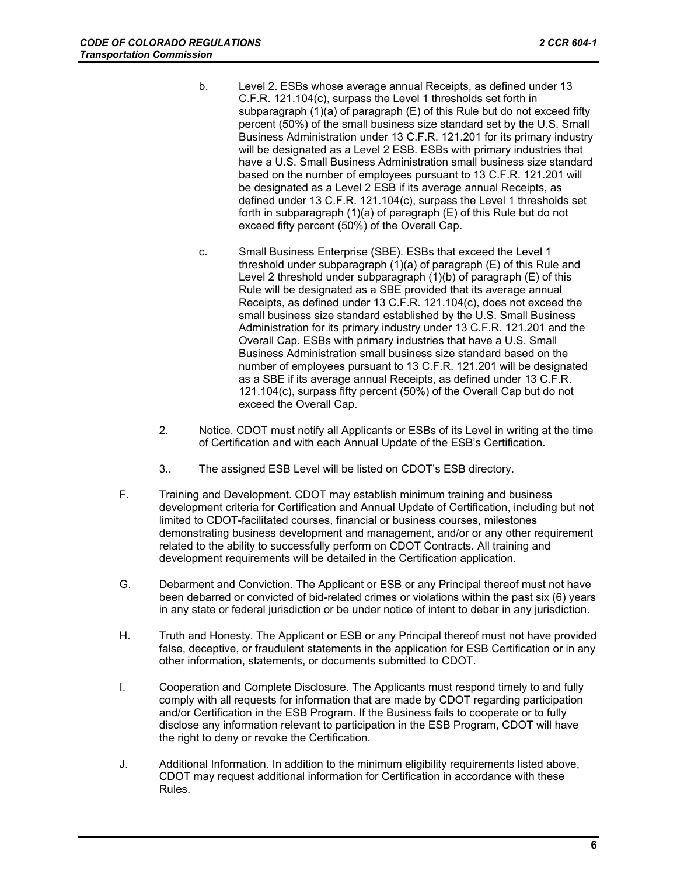- b. Level 2. ESBs whose average annual Receipts, as defined under 13 C.F.R. 121.104(c), surpass the Level 1 thresholds set forth in subparagraph (1)(a) of paragraph (E) of this Rule but do not exceed fifty percent (50%) of the small business size standard set by the U.S. Small Business Administration under 13 C.F.R. 121.201 for its primary industry will be designated as a Level 2 ESB. ESBs with primary industries that have a U.S. Small Business Administration small business size standard based on the number of employees pursuant to 13 C.F.R. 121.201 will be designated as a Level 2 ESB if its average annual Receipts, as defined under 13 C.F.R. 121.104(c), surpass the Level 1 thresholds set forth in subparagraph (1)(a) of paragraph (E) of this Rule but do not exceed fifty percent (50%) of the Overall Cap.
- c. Small Business Enterprise (SBE). ESBs that exceed the Level 1 threshold under subparagraph (1)(a) of paragraph (E) of this Rule and Level 2 threshold under subparagraph (1)(b) of paragraph (E) of this Rule will be designated as a SBE provided that its average annual Receipts, as defined under 13 C.F.R. 121.104(c), does not exceed the small business size standard established by the U.S. Small Business Administration for its primary industry under 13 C.F.R. 121.201 and the Overall Cap. ESBs with primary industries that have a U.S. Small Business Administration small business size standard based on the number of employees pursuant to 13 C.F.R. 121.201 will be designated as a SBE if its average annual Receipts, as defined under 13 C.F.R. 121.104(c), surpass fifty percent (50%) of the Overall Cap but do not exceed the Overall Cap.
- 2. Notice. CDOT must notify all Applicants or ESBs of its Level in writing at the time of Certification and with each Annual Update of the ESB's Certification.
- 3.. The assigned ESB Level will be listed on CDOT's ESB directory.
- F. Training and Development. CDOT may establish minimum training and business development criteria for Certification and Annual Update of Certification, including but not limited to CDOT-facilitated courses, financial or business courses, milestones demonstrating business development and management, and/or or any other requirement related to the ability to successfully perform on CDOT Contracts. All training and development requirements will be detailed in the Certification application.
- G. Debarment and Conviction. The Applicant or ESB or any Principal thereof must not have been debarred or convicted of bid-related crimes or violations within the past six (6) years in any state or federal jurisdiction or be under notice of intent to debar in any jurisdiction.
- H. Truth and Honesty. The Applicant or ESB or any Principal thereof must not have provided false, deceptive, or fraudulent statements in the application for ESB Certification or in any other information, statements, or documents submitted to CDOT.
- I. Cooperation and Complete Disclosure. The Applicants must respond timely to and fully comply with all requests for information that are made by CDOT regarding participation and/or Certification in the ESB Program. If the Business fails to cooperate or to fully disclose any information relevant to participation in the ESB Program, CDOT will have the right to deny or revoke the Certification.
- J. Additional Information. In addition to the minimum eligibility requirements listed above, CDOT may request additional information for Certification in accordance with these Rules.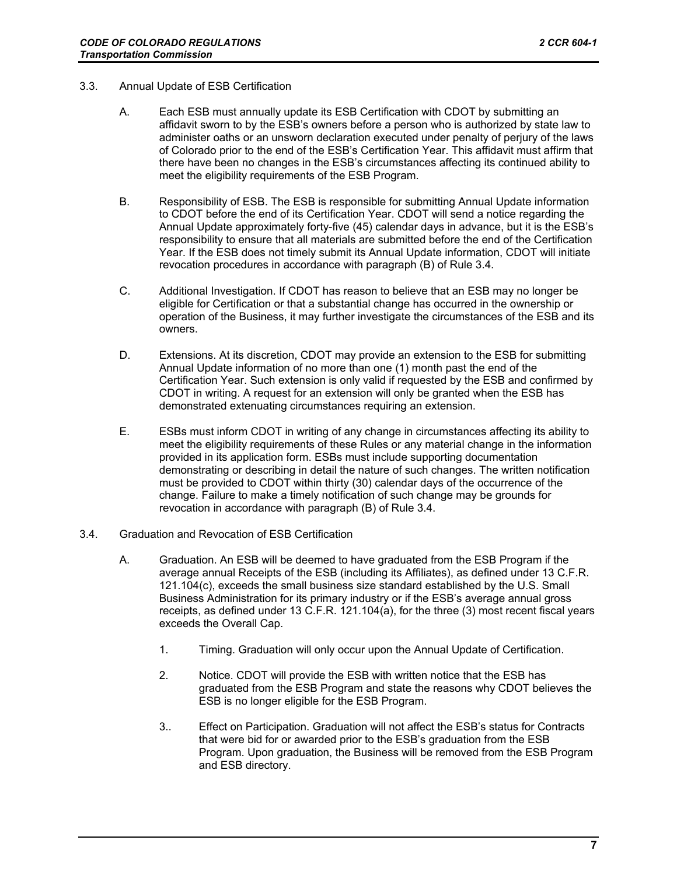- 3.3. Annual Update of ESB Certification
	- A. Each ESB must annually update its ESB Certification with CDOT by submitting an affidavit sworn to by the ESB's owners before a person who is authorized by state law to administer oaths or an unsworn declaration executed under penalty of perjury of the laws of Colorado prior to the end of the ESB's Certification Year. This affidavit must affirm that there have been no changes in the ESB's circumstances affecting its continued ability to meet the eligibility requirements of the ESB Program.
	- B. Responsibility of ESB. The ESB is responsible for submitting Annual Update information to CDOT before the end of its Certification Year. CDOT will send a notice regarding the Annual Update approximately forty-five (45) calendar days in advance, but it is the ESB's responsibility to ensure that all materials are submitted before the end of the Certification Year. If the ESB does not timely submit its Annual Update information, CDOT will initiate revocation procedures in accordance with paragraph (B) of Rule 3.4.
	- C. Additional Investigation. If CDOT has reason to believe that an ESB may no longer be eligible for Certification or that a substantial change has occurred in the ownership or operation of the Business, it may further investigate the circumstances of the ESB and its owners.
	- D. Extensions. At its discretion, CDOT may provide an extension to the ESB for submitting Annual Update information of no more than one (1) month past the end of the Certification Year. Such extension is only valid if requested by the ESB and confirmed by CDOT in writing. A request for an extension will only be granted when the ESB has demonstrated extenuating circumstances requiring an extension.
	- E. ESBs must inform CDOT in writing of any change in circumstances affecting its ability to meet the eligibility requirements of these Rules or any material change in the information provided in its application form. ESBs must include supporting documentation demonstrating or describing in detail the nature of such changes. The written notification must be provided to CDOT within thirty (30) calendar days of the occurrence of the change. Failure to make a timely notification of such change may be grounds for revocation in accordance with paragraph (B) of Rule 3.4.
- 3.4. Graduation and Revocation of ESB Certification
	- A. Graduation. An ESB will be deemed to have graduated from the ESB Program if the average annual Receipts of the ESB (including its Affiliates), as defined under 13 C.F.R. 121.104(c), exceeds the small business size standard established by the U.S. Small Business Administration for its primary industry or if the ESB's average annual gross receipts, as defined under 13 C.F.R. 121.104(a), for the three (3) most recent fiscal years exceeds the Overall Cap.
		- 1. Timing. Graduation will only occur upon the Annual Update of Certification.
		- 2. Notice. CDOT will provide the ESB with written notice that the ESB has graduated from the ESB Program and state the reasons why CDOT believes the ESB is no longer eligible for the ESB Program.
		- 3.. Effect on Participation. Graduation will not affect the ESB's status for Contracts that were bid for or awarded prior to the ESB's graduation from the ESB Program. Upon graduation, the Business will be removed from the ESB Program and ESB directory.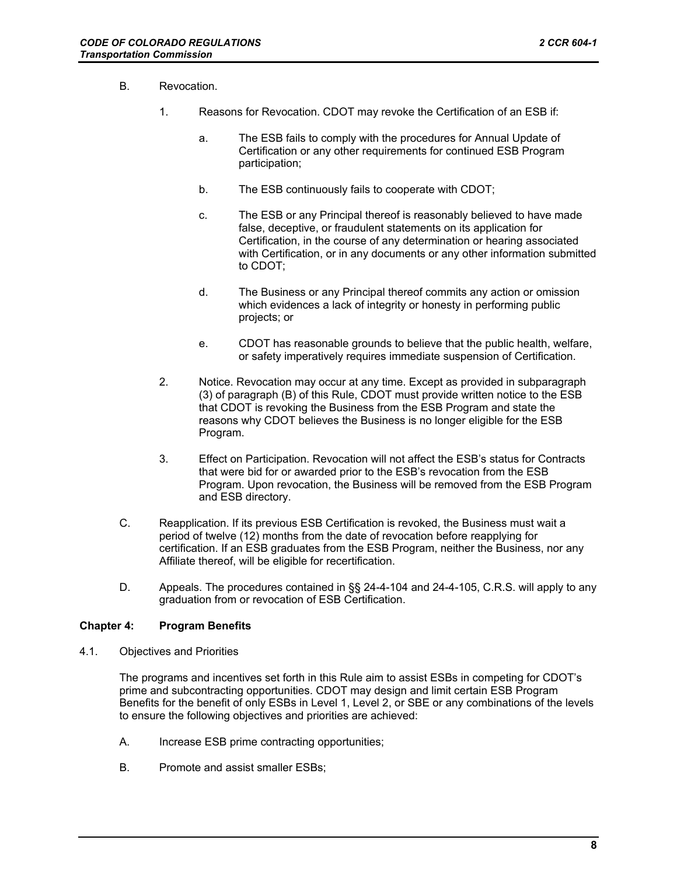- B. Revocation.
	- 1. Reasons for Revocation. CDOT may revoke the Certification of an ESB if:
		- a. The ESB fails to comply with the procedures for Annual Update of Certification or any other requirements for continued ESB Program participation;
		- b. The ESB continuously fails to cooperate with CDOT;
		- c. The ESB or any Principal thereof is reasonably believed to have made false, deceptive, or fraudulent statements on its application for Certification, in the course of any determination or hearing associated with Certification, or in any documents or any other information submitted to CDOT;
		- d. The Business or any Principal thereof commits any action or omission which evidences a lack of integrity or honesty in performing public projects; or
		- e. CDOT has reasonable grounds to believe that the public health, welfare, or safety imperatively requires immediate suspension of Certification.
	- 2. Notice. Revocation may occur at any time. Except as provided in subparagraph (3) of paragraph (B) of this Rule, CDOT must provide written notice to the ESB that CDOT is revoking the Business from the ESB Program and state the reasons why CDOT believes the Business is no longer eligible for the ESB Program.
	- 3. Effect on Participation. Revocation will not affect the ESB's status for Contracts that were bid for or awarded prior to the ESB's revocation from the ESB Program. Upon revocation, the Business will be removed from the ESB Program and ESB directory.
- C. Reapplication. If its previous ESB Certification is revoked, the Business must wait a period of twelve (12) months from the date of revocation before reapplying for certification. If an ESB graduates from the ESB Program, neither the Business, nor any Affiliate thereof, will be eligible for recertification.
- D. Appeals. The procedures contained in §§ 24-4-104 and 24-4-105, C.R.S. will apply to any graduation from or revocation of ESB Certification.

## **Chapter 4: Program Benefits**

4.1. Objectives and Priorities

The programs and incentives set forth in this Rule aim to assist ESBs in competing for CDOT's prime and subcontracting opportunities. CDOT may design and limit certain ESB Program Benefits for the benefit of only ESBs in Level 1, Level 2, or SBE or any combinations of the levels to ensure the following objectives and priorities are achieved:

- A. Increase ESB prime contracting opportunities;
- B. Promote and assist smaller ESBs;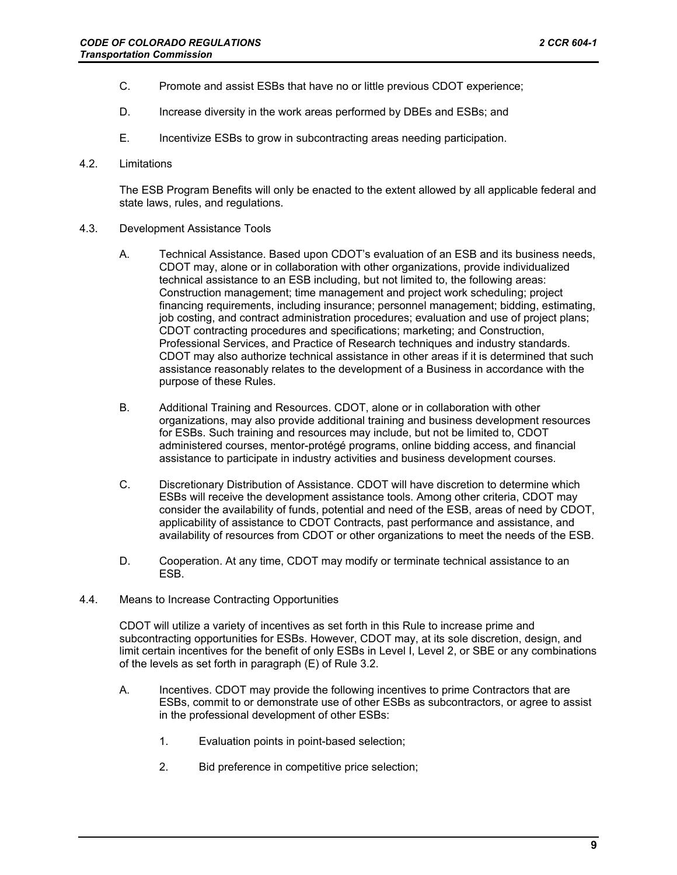- C. Promote and assist ESBs that have no or little previous CDOT experience;
- D. Increase diversity in the work areas performed by DBEs and ESBs; and
- E. Incentivize ESBs to grow in subcontracting areas needing participation.
- 4.2. Limitations

The ESB Program Benefits will only be enacted to the extent allowed by all applicable federal and state laws, rules, and regulations.

- 4.3. Development Assistance Tools
	- A. Technical Assistance. Based upon CDOT's evaluation of an ESB and its business needs, CDOT may, alone or in collaboration with other organizations, provide individualized technical assistance to an ESB including, but not limited to, the following areas: Construction management; time management and project work scheduling; project financing requirements, including insurance; personnel management; bidding, estimating, job costing, and contract administration procedures; evaluation and use of project plans; CDOT contracting procedures and specifications; marketing; and Construction, Professional Services, and Practice of Research techniques and industry standards. CDOT may also authorize technical assistance in other areas if it is determined that such assistance reasonably relates to the development of a Business in accordance with the purpose of these Rules.
	- B. Additional Training and Resources. CDOT, alone or in collaboration with other organizations, may also provide additional training and business development resources for ESBs. Such training and resources may include, but not be limited to, CDOT administered courses, mentor-protégé programs, online bidding access, and financial assistance to participate in industry activities and business development courses.
	- C. Discretionary Distribution of Assistance. CDOT will have discretion to determine which ESBs will receive the development assistance tools. Among other criteria, CDOT may consider the availability of funds, potential and need of the ESB, areas of need by CDOT, applicability of assistance to CDOT Contracts, past performance and assistance, and availability of resources from CDOT or other organizations to meet the needs of the ESB.
	- D. Cooperation. At any time, CDOT may modify or terminate technical assistance to an ESB.
- 4.4. Means to Increase Contracting Opportunities

CDOT will utilize a variety of incentives as set forth in this Rule to increase prime and subcontracting opportunities for ESBs. However, CDOT may, at its sole discretion, design, and limit certain incentives for the benefit of only ESBs in Level I, Level 2, or SBE or any combinations of the levels as set forth in paragraph (E) of Rule 3.2.

- A. Incentives. CDOT may provide the following incentives to prime Contractors that are ESBs, commit to or demonstrate use of other ESBs as subcontractors, or agree to assist in the professional development of other ESBs:
	- 1. Evaluation points in point-based selection;
	- 2. Bid preference in competitive price selection;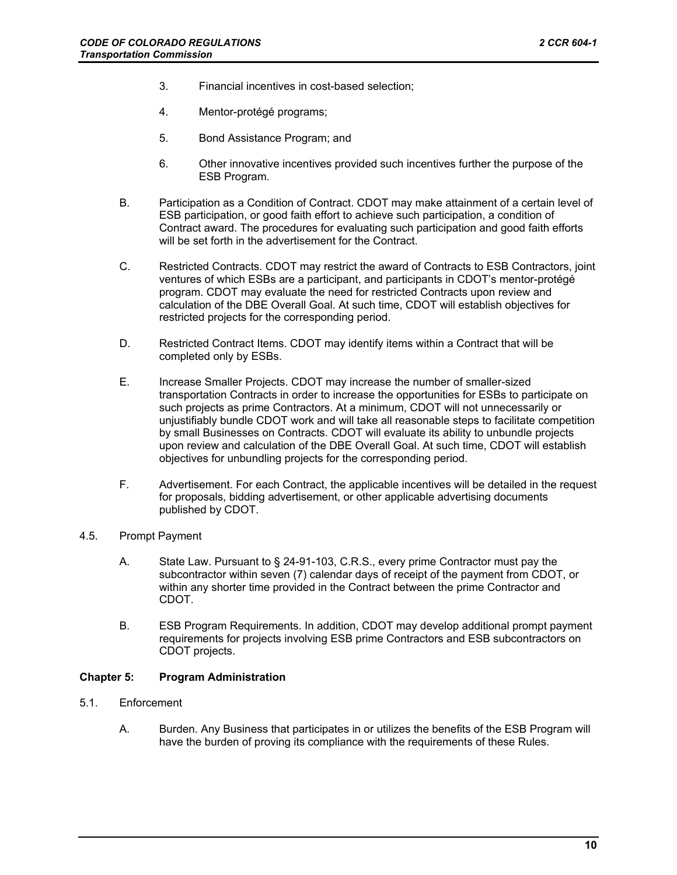- 3. Financial incentives in cost-based selection;
- 4. Mentor-protégé programs;
- 5. Bond Assistance Program; and
- 6. Other innovative incentives provided such incentives further the purpose of the ESB Program.
- B. Participation as a Condition of Contract. CDOT may make attainment of a certain level of ESB participation, or good faith effort to achieve such participation, a condition of Contract award. The procedures for evaluating such participation and good faith efforts will be set forth in the advertisement for the Contract.
- C. Restricted Contracts. CDOT may restrict the award of Contracts to ESB Contractors, joint ventures of which ESBs are a participant, and participants in CDOT's mentor-protégé program. CDOT may evaluate the need for restricted Contracts upon review and calculation of the DBE Overall Goal. At such time, CDOT will establish objectives for restricted projects for the corresponding period.
- D. Restricted Contract Items. CDOT may identify items within a Contract that will be completed only by ESBs.
- E. Increase Smaller Projects. CDOT may increase the number of smaller-sized transportation Contracts in order to increase the opportunities for ESBs to participate on such projects as prime Contractors. At a minimum, CDOT will not unnecessarily or unjustifiably bundle CDOT work and will take all reasonable steps to facilitate competition by small Businesses on Contracts. CDOT will evaluate its ability to unbundle projects upon review and calculation of the DBE Overall Goal. At such time, CDOT will establish objectives for unbundling projects for the corresponding period.
- F. Advertisement. For each Contract, the applicable incentives will be detailed in the request for proposals, bidding advertisement, or other applicable advertising documents published by CDOT.
- 4.5. Prompt Payment
	- A. State Law. Pursuant to § 24-91-103, C.R.S., every prime Contractor must pay the subcontractor within seven (7) calendar days of receipt of the payment from CDOT, or within any shorter time provided in the Contract between the prime Contractor and CDOT.
	- B. ESB Program Requirements. In addition, CDOT may develop additional prompt payment requirements for projects involving ESB prime Contractors and ESB subcontractors on CDOT projects.

### **Chapter 5: Program Administration**

- 5.1. Enforcement
	- A. Burden. Any Business that participates in or utilizes the benefits of the ESB Program will have the burden of proving its compliance with the requirements of these Rules.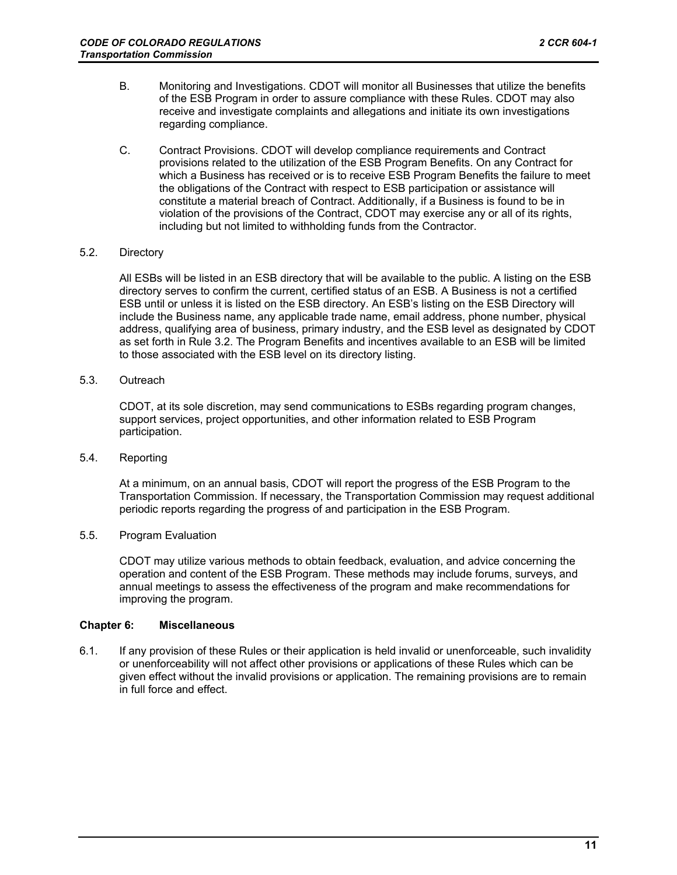- B. Monitoring and Investigations. CDOT will monitor all Businesses that utilize the benefits of the ESB Program in order to assure compliance with these Rules. CDOT may also receive and investigate complaints and allegations and initiate its own investigations regarding compliance.
- C. Contract Provisions. CDOT will develop compliance requirements and Contract provisions related to the utilization of the ESB Program Benefits. On any Contract for which a Business has received or is to receive ESB Program Benefits the failure to meet the obligations of the Contract with respect to ESB participation or assistance will constitute a material breach of Contract. Additionally, if a Business is found to be in violation of the provisions of the Contract, CDOT may exercise any or all of its rights, including but not limited to withholding funds from the Contractor.

## 5.2. Directory

All ESBs will be listed in an ESB directory that will be available to the public. A listing on the ESB directory serves to confirm the current, certified status of an ESB. A Business is not a certified ESB until or unless it is listed on the ESB directory. An ESB's listing on the ESB Directory will include the Business name, any applicable trade name, email address, phone number, physical address, qualifying area of business, primary industry, and the ESB level as designated by CDOT as set forth in Rule 3.2. The Program Benefits and incentives available to an ESB will be limited to those associated with the ESB level on its directory listing.

## 5.3. Outreach

CDOT, at its sole discretion, may send communications to ESBs regarding program changes, support services, project opportunities, and other information related to ESB Program participation.

5.4. Reporting

At a minimum, on an annual basis, CDOT will report the progress of the ESB Program to the Transportation Commission. If necessary, the Transportation Commission may request additional periodic reports regarding the progress of and participation in the ESB Program.

# 5.5. Program Evaluation

CDOT may utilize various methods to obtain feedback, evaluation, and advice concerning the operation and content of the ESB Program. These methods may include forums, surveys, and annual meetings to assess the effectiveness of the program and make recommendations for improving the program.

## **Chapter 6: Miscellaneous**

6.1. If any provision of these Rules or their application is held invalid or unenforceable, such invalidity or unenforceability will not affect other provisions or applications of these Rules which can be given effect without the invalid provisions or application. The remaining provisions are to remain in full force and effect.